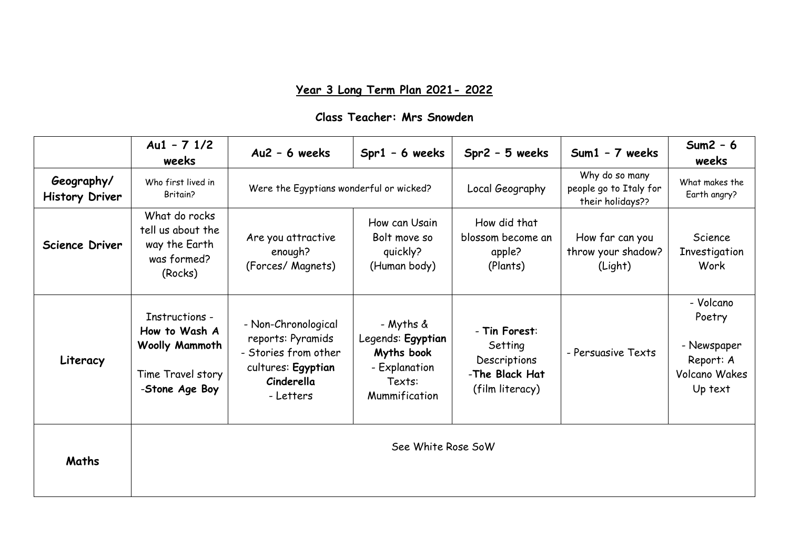## **Year 3 Long Term Plan 2021- 2022**

## **Class Teacher: Mrs Snowden**

|                                     | $Au1 - 71/2$<br>weeks                                                                    | $Au2 - 6$ weeks                                                                                                   | $Spr1 - 6$ weeks                                                                         | $Spr2 - 5$ weeks                                                              | Sum1 - 7 weeks                                               | $Sum2 - 6$<br>weeks                                                                |  |  |
|-------------------------------------|------------------------------------------------------------------------------------------|-------------------------------------------------------------------------------------------------------------------|------------------------------------------------------------------------------------------|-------------------------------------------------------------------------------|--------------------------------------------------------------|------------------------------------------------------------------------------------|--|--|
| Geography/<br><b>History Driver</b> | Who first lived in<br>Britain?                                                           | Were the Egyptians wonderful or wicked?                                                                           |                                                                                          | Local Geography                                                               | Why do so many<br>people go to Italy for<br>their holidays?? | What makes the<br>Earth angry?                                                     |  |  |
| Science Driver                      | What do rocks<br>tell us about the<br>way the Earth<br>was formed?<br>(Rocks)            | Are you attractive<br>enough?<br>(Forces/ Magnets)                                                                | How can Usain<br>Bolt move so<br>quickly?<br>(Human body)                                | How did that<br>blossom become an<br>apple?<br>(Plants)                       | How far can you<br>throw your shadow?<br>(Light)             | Science<br>Investigation<br>Work                                                   |  |  |
| Literacy                            | Instructions -<br>How to Wash A<br>Woolly Mammoth<br>Time Travel story<br>-Stone Age Boy | - Non-Chronological<br>reports: Pyramids<br>- Stories from other<br>cultures: Egyptian<br>Cinderella<br>- Letters | - Myths &<br>Legends: Egyptian<br>Myths book<br>- Explanation<br>Texts:<br>Mummification | - Tin Forest:<br>Setting<br>Descriptions<br>-The Black Hat<br>(film literacy) | - Persuasive Texts                                           | - Volcano<br>Poetry<br>- Newspaper<br>Report: A<br><b>Volcano Wakes</b><br>Up text |  |  |
| Maths                               | See White Rose SoW                                                                       |                                                                                                                   |                                                                                          |                                                                               |                                                              |                                                                                    |  |  |